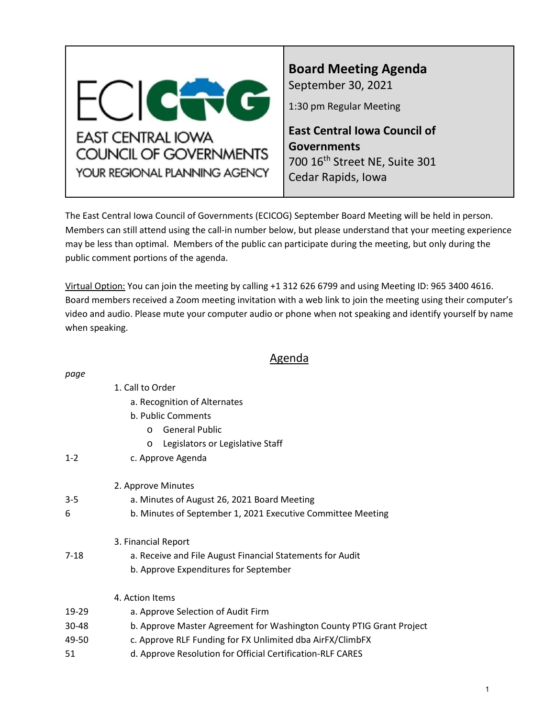<span id="page-0-0"></span>

# **Board Meeting Agenda** September 30, 2021

1:30 pm Regular Meeting

**East Central Iowa Council of Governments** 700 16<sup>th</sup> Street NE, Suite 301 Cedar Rapids, Iowa

The East Central Iowa Council of Governments (ECICOG) September Board Meeting will be held in person. Members can still attend using the call-in number below, but please understand that your meeting experience may be less than optimal. Members of the public can participate during the meeting, but only during the public comment portions of the agenda.

Virtual Option: You can join the meeting by calling +1 312 626 6799 and using Meeting ID: 965 3400 4616. Board members received a Zoom meeting invitation with a web link to join the meeting using their computer's video and audio. Please mute your computer audio or phone when not speaking and identify yourself by name when speaking.

## Agenda

| page     |                                                                      |
|----------|----------------------------------------------------------------------|
|          | 1. Call to Order                                                     |
|          | a. Recognition of Alternates                                         |
|          | b. Public Comments                                                   |
|          | <b>General Public</b><br>$\Omega$                                    |
|          | Legislators or Legislative Staff<br>$\circ$                          |
| $1 - 2$  | c. Approve Agenda                                                    |
|          | 2. Approve Minutes                                                   |
| $3 - 5$  | a. Minutes of August 26, 2021 Board Meeting                          |
| 6        | b. Minutes of September 1, 2021 Executive Committee Meeting          |
|          | 3. Financial Report                                                  |
| $7 - 18$ | a. Receive and File August Financial Statements for Audit            |
|          | b. Approve Expenditures for September                                |
|          | 4. Action Items                                                      |
| 19-29    | a. Approve Selection of Audit Firm                                   |
| 30-48    | b. Approve Master Agreement for Washington County PTIG Grant Project |
| 49-50    | c. Approve RLF Funding for FX Unlimited dba AirFX/ClimbFX            |
| 51       | d. Approve Resolution for Official Certification-RLF CARES           |
|          |                                                                      |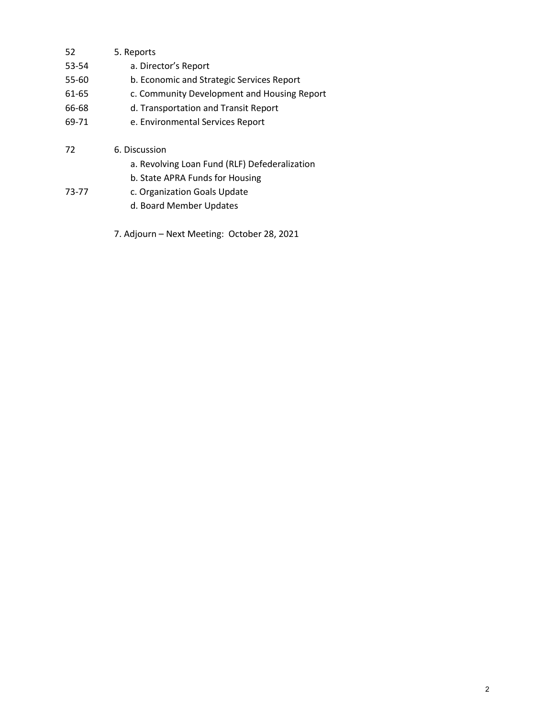- 52 5. Reports
- 53-54 a. Director's Report
- 55-60 b. Economic and Strategic Services Report
- 61-65 c. Community Development and Housing Report
- 66-68 d. Transportation and Transit Report
- 69-71 e. Environmental Services Report
- 72 6. Discussion
	- a. Revolving Loan Fund (RLF) Defederalization
	- b. State APRA Funds for Housing
- 73-77 c. Organization Goals Update
	- d. Board Member Updates
	- 7. Adjourn Next Meeting: October 28, 2021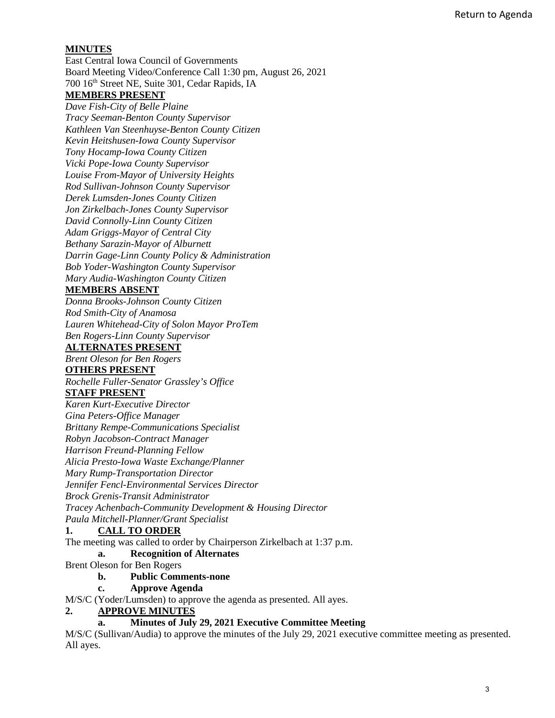## <span id="page-2-0"></span>**MINUTES**

East Central Iowa Council of Governments Board Meeting Video/Conference Call 1:30 pm, August 26, 2021 700 16th Street NE, Suite 301, Cedar Rapids, IA **MEMBERS PRESENT**

*Dave Fish-City of Belle Plaine Tracy Seeman-Benton County Supervisor Kathleen Van Steenhuyse-Benton County Citizen Kevin Heitshusen-Iowa County Supervisor Tony Hocamp-Iowa County Citizen Vicki Pope-Iowa County Supervisor Louise From-Mayor of University Heights Rod Sullivan-Johnson County Supervisor Derek Lumsden-Jones County Citizen Jon Zirkelbach-Jones County Supervisor David Connolly-Linn County Citizen Adam Griggs-Mayor of Central City Bethany Sarazin-Mayor of Alburnett Darrin Gage-Linn County Policy & Administration Bob Yoder-Washington County Supervisor Mary Audia-Washington County Citizen* 

#### **MEMBERS ABSENT**

*Donna Brooks-Johnson County Citizen Rod Smith-City of Anamosa Lauren Whitehead-City of Solon Mayor ProTem Ben Rogers-Linn County Supervisor* 

#### **ALTERNATES PRESENT**

*Brent Oleson for Ben Rogers* 

#### **OTHERS PRESENT**

*Rochelle Fuller-Senator Grassley's Office*

#### **STAFF PRESENT**

*Karen Kurt-Executive Director Gina Peters-Office Manager Brittany Rempe-Communications Specialist Robyn Jacobson-Contract Manager Harrison Freund-Planning Fellow Alicia Presto-Iowa Waste Exchange/Planner Mary Rump-Transportation Director Jennifer Fencl-Environmental Services Director Brock Grenis-Transit Administrator Tracey Achenbach-Community Development & Housing Director Paula Mitchell-Planner/Grant Specialist* 

## **1. CALL TO ORDER**

The meeting was called to order by Chairperson Zirkelbach at 1:37 p.m.

#### **a. Recognition of Alternates**

Brent Oleson for Ben Rogers

#### **b. Public Comments-none**

**c. Approve Agenda**

M/S/C (Yoder/Lumsden) to approve the agenda as presented. All ayes.

#### **2. APPROVE MINUTES**

**a. Minutes of July 29, 2021 Executive Committee Meeting**

M/S/C (Sullivan/Audia) to approve the minutes of the July 29, 2021 executive committee meeting as presented. All ayes.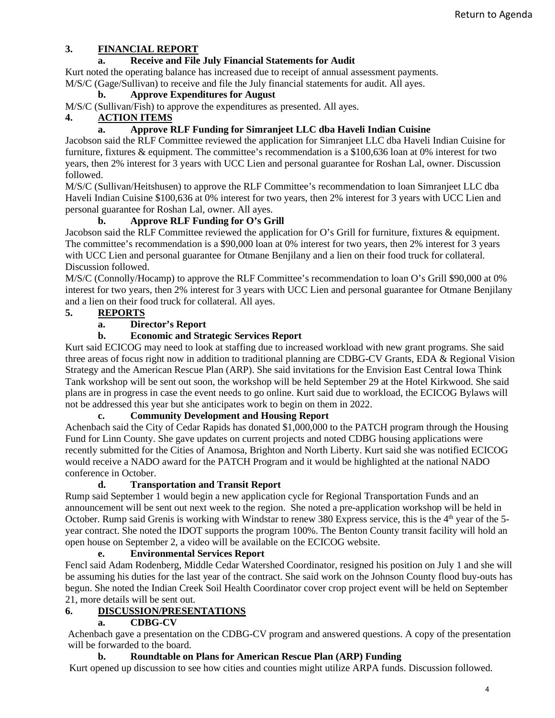## **3. FINANCIAL REPORT**

## **a. Receive and File July Financial Statements for Audit**

Kurt noted the operating balance has increased due to receipt of annual assessment payments. M/S/C (Gage/Sullivan) to receive and file the July financial statements for audit. All ayes.

## **b. Approve Expenditures for August**

M/S/C (Sullivan/Fish) to approve the expenditures as presented. All ayes.

## **4. ACTION ITEMS**

## **a. Approve RLF Funding for Simranjeet LLC dba Haveli Indian Cuisine**

Jacobson said the RLF Committee reviewed the application for Simranjeet LLC dba Haveli Indian Cuisine for furniture, fixtures & equipment. The committee's recommendation is a \$100,636 loan at 0% interest for two years, then 2% interest for 3 years with UCC Lien and personal guarantee for Roshan Lal, owner. Discussion followed.

M/S/C (Sullivan/Heitshusen) to approve the RLF Committee's recommendation to loan Simranjeet LLC dba Haveli Indian Cuisine \$100,636 at 0% interest for two years, then 2% interest for 3 years with UCC Lien and personal guarantee for Roshan Lal, owner. All ayes.

## **b. Approve RLF Funding for O's Grill**

Jacobson said the RLF Committee reviewed the application for O's Grill for furniture, fixtures & equipment. The committee's recommendation is a \$90,000 loan at 0% interest for two years, then 2% interest for 3 years with UCC Lien and personal guarantee for Otmane Benjilany and a lien on their food truck for collateral. Discussion followed.

M/S/C (Connolly/Hocamp) to approve the RLF Committee's recommendation to loan O's Grill \$90,000 at 0% interest for two years, then 2% interest for 3 years with UCC Lien and personal guarantee for Otmane Benjilany and a lien on their food truck for collateral. All ayes.

## **5. REPORTS**

## **a. Director's Report**

## **b. Economic and Strategic Services Report**

Kurt said ECICOG may need to look at staffing due to increased workload with new grant programs. She said three areas of focus right now in addition to traditional planning are CDBG-CV Grants, EDA & Regional Vision Strategy and the American Rescue Plan (ARP). She said invitations for the Envision East Central Iowa Think Tank workshop will be sent out soon, the workshop will be held September 29 at the Hotel Kirkwood. She said plans are in progress in case the event needs to go online. Kurt said due to workload, the ECICOG Bylaws will not be addressed this year but she anticipates work to begin on them in 2022.

#### **c. Community Development and Housing Report**

Achenbach said the City of Cedar Rapids has donated \$1,000,000 to the PATCH program through the Housing Fund for Linn County. She gave updates on current projects and noted CDBG housing applications were recently submitted for the Cities of Anamosa, Brighton and North Liberty. Kurt said she was notified ECICOG would receive a NADO award for the PATCH Program and it would be highlighted at the national NADO conference in October.

#### **d. Transportation and Transit Report**

Rump said September 1 would begin a new application cycle for Regional Transportation Funds and an announcement will be sent out next week to the region. She noted a pre-application workshop will be held in October. Rump said Grenis is working with Windstar to renew 380 Express service, this is the 4<sup>th</sup> year of the 5year contract. She noted the IDOT supports the program 100%. The Benton County transit facility will hold an open house on September 2, a video will be available on the ECICOG website.

#### **e. Environmental Services Report**

Fencl said Adam Rodenberg, Middle Cedar Watershed Coordinator, resigned his position on July 1 and she will be assuming his duties for the last year of the contract. She said work on the Johnson County flood buy-outs has begun. She noted the Indian Creek Soil Health Coordinator cover crop project event will be held on September 21, more details will be sent out.

## **6. DISCUSSION/PRESENTATIONS**

#### **a. CDBG-CV**

Achenbach gave a presentation on the CDBG-CV program and answered questions. A copy of the presentation will be forwarded to the board.

#### **b. Roundtable on Plans for American Rescue Plan (ARP) Funding**

Kurt opened up discussion to see how cities and counties might utilize ARPA funds. Discussion followed.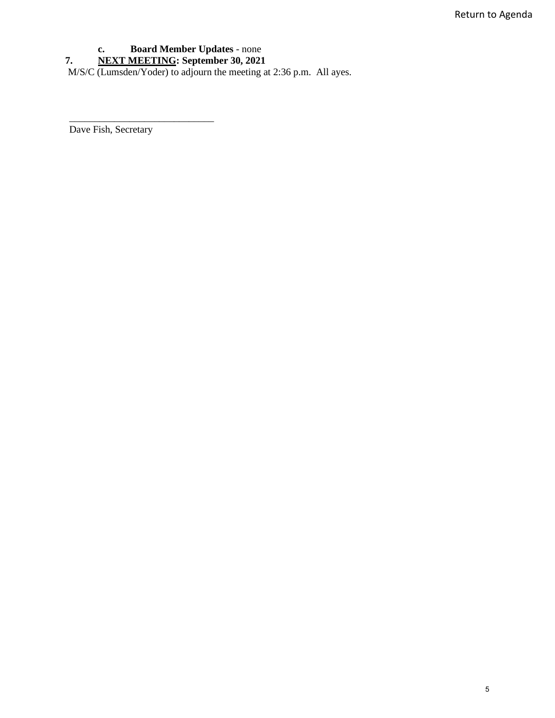## **c. Board Member Updates** - none

**7. NEXT MEETING: September 30, 2021**

M/S/C (Lumsden/Yoder) to adjourn the meeting at 2:36 p.m. All ayes.

Dave Fish, Secretary

\_\_\_\_\_\_\_\_\_\_\_\_\_\_\_\_\_\_\_\_\_\_\_\_\_\_\_\_\_